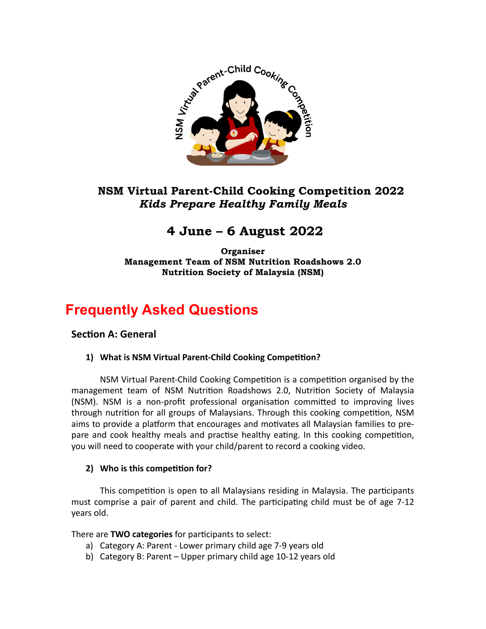

# **NSM Virtual Parent-Child Cooking Competition 2022**  *Kids Prepare Healthy Family Meals*

# **4 June – 6 August 2022**

**Organiser Management Team of NSM Nutrition Roadshows 2.0 Nutrition Society of Malaysia (NSM)** 

# **Frequently Asked Questions**

# **Section A: General**

# 1) What is NSM Virtual Parent-Child Cooking Competition?

NSM Virtual Parent-Child Cooking Competition is a competition organised by the management team of NSM Nutrition Roadshows 2.0, Nutrition Society of Malaysia (NSM). NSM is a non-profit professional organisation committed to improving lives through nutrition for all groups of Malaysians. Through this cooking competition, NSM aims to provide a platform that encourages and motivates all Malaysian families to prepare and cook healthy meals and practise healthy eating. In this cooking competition, you will need to cooperate with your child/parent to record a cooking video.

# **2)** Who is this competition for?

This competition is open to all Malaysians residing in Malaysia. The participants must comprise a pair of parent and child. The participating child must be of age 7-12 years old. 

There are **TWO categories** for participants to select:

- a) Category A: Parent Lower primary child age 7-9 years old
- b) Category B: Parent Upper primary child age 10-12 years old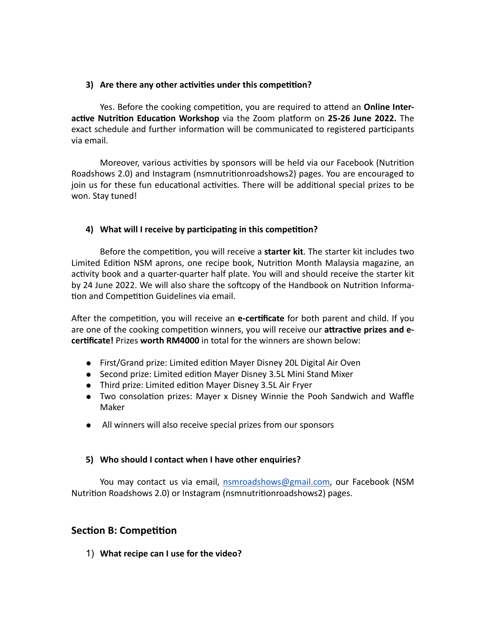#### **3)** Are there any other activities under this competition?

Yes. Before the cooking competition, you are required to attend an **Online Interactive Nutrition Education Workshop** via the Zoom platform on 25-26 June 2022. The exact schedule and further information will be communicated to registered participants via email.

Moreover, various activities by sponsors will be held via our Facebook (Nutrition Roadshows 2.0) and Instagram (nsmnutritionroadshows2) pages. You are encouraged to join us for these fun educational activities. There will be additional special prizes to be won. Stay tuned!

#### 4) What will I receive by participating in this competition?

Before the competition, you will receive a **starter kit**. The starter kit includes two Limited Edition NSM aprons, one recipe book, Nutrition Month Malaysia magazine, an activity book and a quarter-quarter half plate. You will and should receive the starter kit by 24 June 2022. We will also share the softcopy of the Handbook on Nutrition Information and Competition Guidelines via email.

After the competition, you will receive an e-certificate for both parent and child. If you are one of the cooking competition winners, you will receive our attractive prizes and e**certificate!** Prizes worth RM4000 in total for the winners are shown below:

- First/Grand prize: Limited edition Mayer Disney 20L Digital Air Oven
- Second prize: Limited edition Mayer Disney 3.5L Mini Stand Mixer
- Third prize: Limited edition Mayer Disney 3.5L Air Fryer
- Two consolation prizes: Mayer x Disney Winnie the Pooh Sandwich and Waffle Maker
- All winners will also receive special prizes from our sponsors

#### **5)** Who should I contact when I have other enquiries?

You may contact us via email, [nsmroadshows@gmail.com,](mailto:nsmroadshows@gmail.com) our Facebook (NSM Nutrition Roadshows 2.0) or Instagram (nsmnutritionroadshows2) pages.

# **Section B: Competition**

1) What recipe can I use for the video?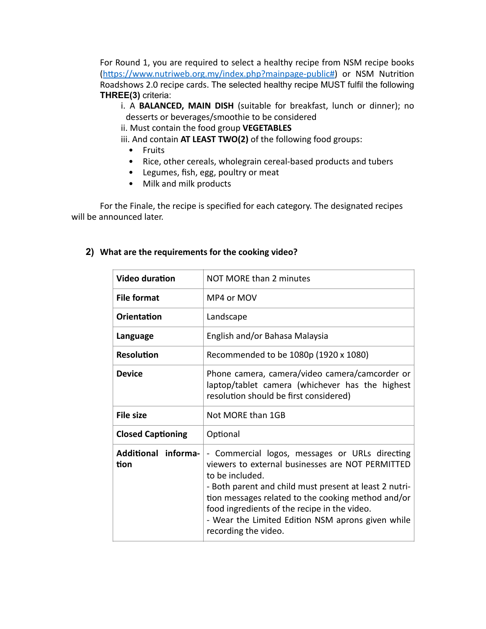For Round 1, you are required to select a healthy recipe from NSM recipe books (https://www.nutriweb.org.my/index.php?mainpage-public#) or NSM Nutrition Roadshows 2.0 recipe cards. The selected healthy recipe MUST fulfil the following **THREE(3)** criteria:

- i. A **BALANCED, MAIN DISH** (suitable for breakfast, lunch or dinner); no desserts or beverages/smoothie to be considered
- ii. Must contain the food group VEGETABLES

iii. And contain AT LEAST TWO(2) of the following food groups:

- Fruits
- Rice, other cereals, wholegrain cereal-based products and tubers
- Legumes, fish, egg, poultry or meat
- Milk and milk products

For the Finale, the recipe is specified for each category. The designated recipes will be announced later.

#### **2)** What are the requirements for the cooking video?

| <b>Video duration</b>       | NOT MORE than 2 minutes                                                                                                                                                                                                                                                                                                                                            |
|-----------------------------|--------------------------------------------------------------------------------------------------------------------------------------------------------------------------------------------------------------------------------------------------------------------------------------------------------------------------------------------------------------------|
| <b>File format</b>          | MP4 or MOV                                                                                                                                                                                                                                                                                                                                                         |
| <b>Orientation</b>          | Landscape                                                                                                                                                                                                                                                                                                                                                          |
| Language                    | English and/or Bahasa Malaysia                                                                                                                                                                                                                                                                                                                                     |
| <b>Resolution</b>           | Recommended to be 1080p (1920 x 1080)                                                                                                                                                                                                                                                                                                                              |
| <b>Device</b>               | Phone camera, camera/video camera/camcorder or<br>laptop/tablet camera (whichever has the highest<br>resolution should be first considered)                                                                                                                                                                                                                        |
| <b>File size</b>            | Not MORF than 1GB                                                                                                                                                                                                                                                                                                                                                  |
| <b>Closed Captioning</b>    | Optional                                                                                                                                                                                                                                                                                                                                                           |
| Additional informa-<br>tion | - Commercial logos, messages or URLs directing<br>viewers to external businesses are NOT PERMITTED<br>to be included.<br>- Both parent and child must present at least 2 nutri-<br>tion messages related to the cooking method and/or<br>food ingredients of the recipe in the video.<br>- Wear the Limited Edition NSM aprons given while<br>recording the video. |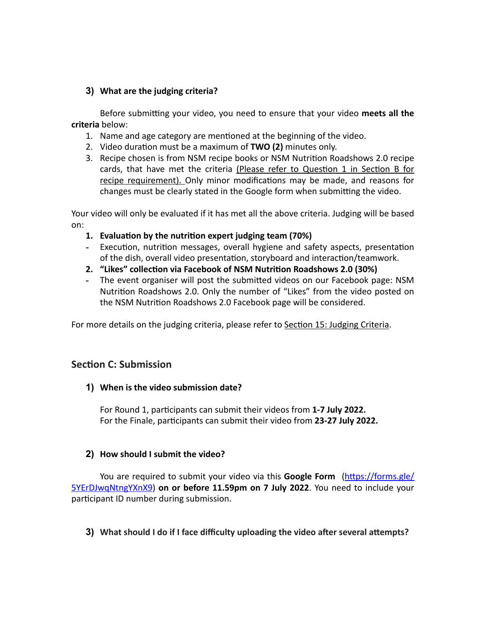### **3)** What are the judging criteria?

Before submitting your video, you need to ensure that your video meets all the **criteria** below: 

- 1. Name and age category are mentioned at the beginning of the video.
- 2. Video duration must be a maximum of **TWO (2)** minutes only.
- 3. Recipe chosen is from NSM recipe books or NSM Nutrition Roadshows 2.0 recipe cards, that have met the criteria (Please refer to Question 1 in Section B for recipe requirement). Only minor modifications may be made, and reasons for changes must be clearly stated in the Google form when submitting the video.

Your video will only be evaluated if it has met all the above criteria. Judging will be based on: 

- 1. **Evaluation by the nutrition expert judging team (70%)**
- Execution, nutrition messages, overall hygiene and safety aspects, presentation of the dish, overall video presentation, storyboard and interaction/teamwork.
- 2. "Likes" collection via Facebook of NSM Nutrition Roadshows 2.0 (30%)
- The event organiser will post the submitted videos on our Facebook page: NSM Nutrition Roadshows 2.0. Only the number of "Likes" from the video posted on the NSM Nutrition Roadshows 2.0 Facebook page will be considered.

For more details on the judging criteria, please refer to Section 15: Judging Criteria.

# **Section C: Submission**

# **1)** When is the video submission date?

For Round 1, participants can submit their videos from 1-7 July 2022. For the Finale, participants can submit their video from 23-27 July 2022.

# **2)** How should I submit the video?

You are required to submit your video via this **Google Form** (https://forms.gle/ [5YErDJwqNtngYXnX9](https://forms.gle/5YErDJwqNtngYXnX9)) on or before 11.59pm on 7 July 2022. You need to include your participant ID number during submission.

# **3)** What should I do if I face difficulty uploading the video after several attempts?